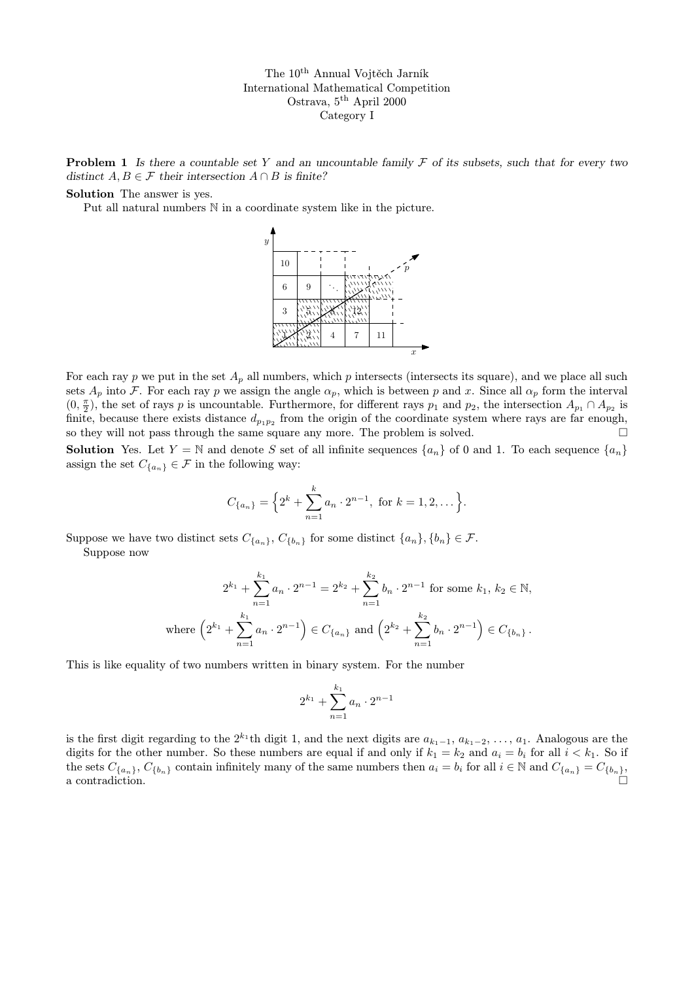**Problem 1** Is there a countable set Y and an uncountable family  $\mathcal F$  of its subsets, such that for every two distinct  $A, B \in \mathcal{F}$  their intersection  $A \cap B$  is finite?

## Solution The answer is yes.

Put all natural numbers N in a coordinate system like in the picture.



For each ray p we put in the set  $A_p$  all numbers, which p intersects (intersects its square), and we place all such sets  $A_p$  into F. For each ray p we assign the angle  $\alpha_p$ , which is between p and x. Since all  $\alpha_p$  form the interval  $(0, \frac{\pi}{2})$ , the set of rays p is uncountable. Furthermore, for different rays  $p_1$  and  $p_2$ , the intersection  $A_{p_1} \cap A_{p_2}$  is finite, because there exists distance  $d_{p_1p_2}$  from the origin of the coordinate system where rays are far enough, so they will not pass through the same square any more. The problem is solved.  $\square$ 

**Solution** Yes. Let  $Y = \mathbb{N}$  and denote S set of all infinite sequences  $\{a_n\}$  of 0 and 1. To each sequence  $\{a_n\}$ assign the set  $C_{\{a_n\}} \in \mathcal{F}$  in the following way:

$$
C_{\{a_n\}} = \left\{2^k + \sum_{n=1}^k a_n \cdot 2^{n-1}, \text{ for } k = 1, 2, \dots\right\}.
$$

Suppose we have two distinct sets  $C_{\{a_n\}}$ ,  $C_{\{b_n\}}$  for some distinct  $\{a_n\}$ ,  $\{b_n\} \in \mathcal{F}$ . Suppose now

$$
2^{k_1} + \sum_{n=1}^{k_1} a_n \cdot 2^{n-1} = 2^{k_2} + \sum_{n=1}^{k_2} b_n \cdot 2^{n-1} \text{ for some } k_1, k_2 \in \mathbb{N},
$$
  
where  $\left(2^{k_1} + \sum_{n=1}^{k_1} a_n \cdot 2^{n-1}\right) \in C_{\{a_n\}}$  and  $\left(2^{k_2} + \sum_{n=1}^{k_2} b_n \cdot 2^{n-1}\right) \in C_{\{b_n\}}.$ 

This is like equality of two numbers written in binary system. For the number

$$
2^{k_1} + \sum_{n=1}^{k_1} a_n \cdot 2^{n-1}
$$

is the first digit regarding to the  $2^{k_1}$ th digit 1, and the next digits are  $a_{k_1-1}, a_{k_1-2}, \ldots, a_1$ . Analogous are the digits for the other number. So these numbers are equal if and only if  $k_1 = k_2$  and  $a_i = b_i$  for all  $i < k_1$ . So if the sets  $C_{\{a_n\}}$ ,  $C_{\{b_n\}}$  contain infinitely many of the same numbers then  $a_i = b_i$  for all  $i \in \mathbb{N}$  and  $C_{\{a_n\}} = C_{\{b_n\}}$ ,  $\Box$  a contradiction.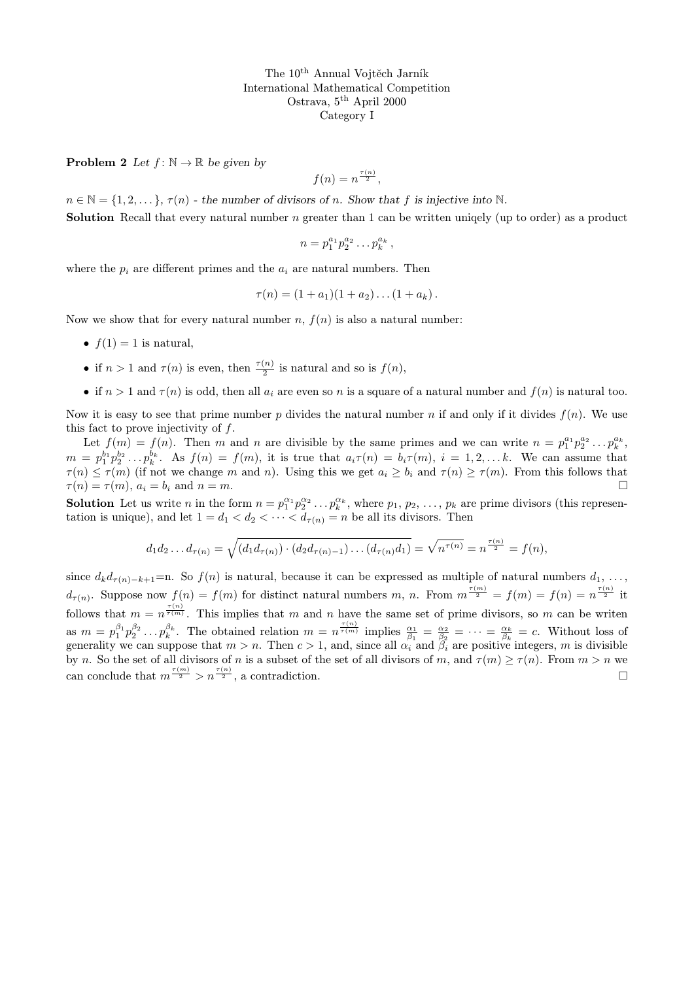**Problem 2** Let  $f: \mathbb{N} \to \mathbb{R}$  be given by

$$
f(n) = n^{\frac{\tau(n)}{2}},
$$

 $n \in \mathbb{N} = \{1, 2, \dots\}$ ,  $\tau(n)$  - the number of divisors of n. Show that f is injective into N. **Solution** Recall that every natural number n greater than 1 can be written uniqely (up to order) as a product

$$
n=p_1^{a_1}p_2^{a_2}\ldots p_k^{a_k},
$$

where the  $p_i$  are different primes and the  $a_i$  are natural numbers. Then

$$
\tau(n) = (1 + a_1)(1 + a_2) \dots (1 + a_k).
$$

Now we show that for every natural number n,  $f(n)$  is also a natural number:

- $f(1) = 1$  is natural,
- if  $n > 1$  and  $\tau(n)$  is even, then  $\frac{\tau(n)}{2}$  is natural and so is  $f(n)$ ,
- if  $n > 1$  and  $\tau(n)$  is odd, then all  $a_i$  are even so n is a square of a natural number and  $f(n)$  is natural too.

Now it is easy to see that prime number p divides the natural number n if and only if it divides  $f(n)$ . We use this fact to prove injectivity of f.

Let  $f(m) = f(n)$ . Then m and n are divisible by the same primes and we can write  $n = p_1^{a_1} p_2^{a_2} \dots p_k^{a_k}$ .  $m = p_1^{b_1} p_2^{b_2} \ldots p_k^{b_k}$ . As  $f(n) = f(m)$ , it is true that  $a_i \tau(n) = b_i \tau(m)$ ,  $i = 1, 2, \ldots k$ . We can assume that  $\tau(n) \leq \tau(m)$  (if not we change m and n). Using this we get  $a_i \geq b_i$  and  $\tau(n) \geq \tau(m)$ . From this follows that  $\tau(n) = \tau(m), a_i = b_i$  and  $n = m$ .

**Solution** Let us write *n* in the form  $n = p_1^{\alpha_1} p_2^{\alpha_2} \dots p_k^{\alpha_k}$ , where  $p_1, p_2, \dots, p_k$  are prime divisors (this representation is unique), and let  $1 = d_1 < d_2 < \cdots < d_{\tau(n)} = n$  be all its divisors. Then

$$
d_1 d_2 \dots d_{\tau(n)} = \sqrt{(d_1 d_{\tau(n)}) \cdot (d_2 d_{\tau(n)-1}) \dots (d_{\tau(n)} d_1)} = \sqrt{n^{\tau(n)}} = n^{\frac{\tau(n)}{2}} = f(n),
$$

since  $d_k d_{\tau(n)-k+1}$ =n. So  $f(n)$  is natural, because it can be expressed as multiple of natural numbers  $d_1, \ldots,$  $d_{\tau(n)}$ . Suppose now  $f(n) = f(m)$  for distinct natural numbers m, n. From  $m^{\frac{\tau(m)}{2}} = f(m) = f(n) = n^{\frac{\tau(n)}{2}}$  it follows that  $m = n^{\frac{\tau(n)}{\tau(m)}}$ . This implies that m and n have the same set of prime divisors, so m can be writen as  $m = p_1^{\beta_1} p_2^{\beta_2} \dots p_k^{\beta_k}$ . The obtained relation  $m = n^{\frac{\tau(n)}{\tau(m)}}$  implies  $\frac{\alpha_1}{\beta_1} = \frac{\alpha_2}{\beta_2} = \dots = \frac{\alpha_k}{\beta_k} = c$ . Without loss of generality we can suppose that  $m > n$ . Then  $c > 1$ , and, since all  $\alpha_i$  and  $\beta_i$  are positive integers, m is divisible by n. So the set of all divisors of n is a subset of the set of all divisors of m, and  $\tau(m) \ge \tau(n)$ . From  $m > n$  we can conclude that  $m^{\frac{\tau(m)}{2}} > n^{\frac{\tau(n)}{2}}$ , a contradiction.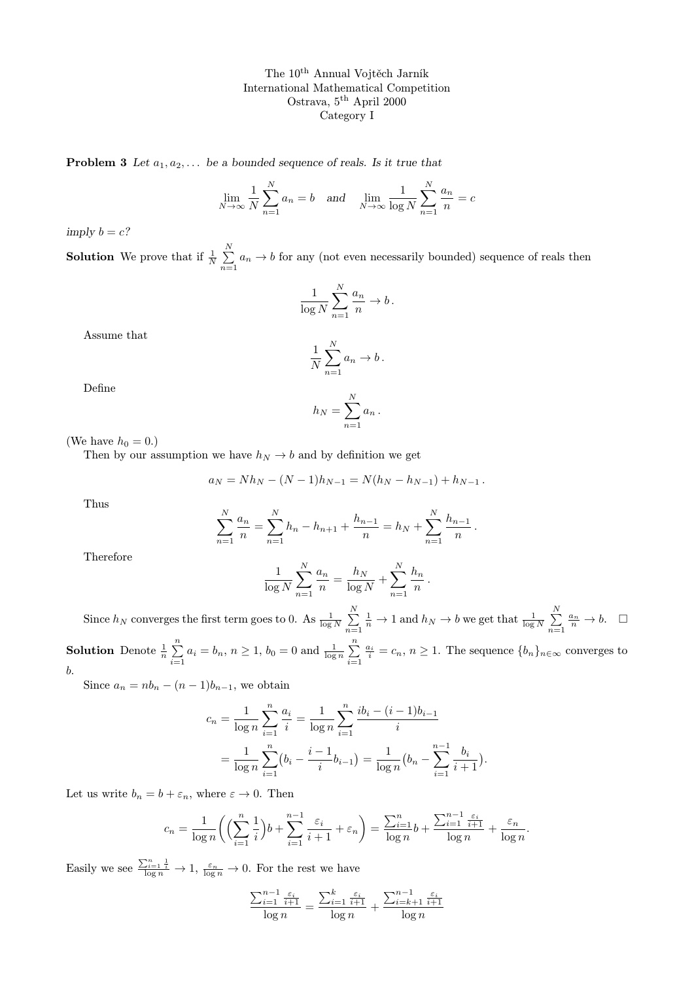**Problem 3** Let  $a_1, a_2, \ldots$  be a bounded sequence of reals. Is it true that

$$
\lim_{N \to \infty} \frac{1}{N} \sum_{n=1}^{N} a_n = b \quad \text{and} \quad \lim_{N \to \infty} \frac{1}{\log N} \sum_{n=1}^{N} \frac{a_n}{n} = c
$$

imply  $b = c$ ?

**Solution** We prove that if  $\frac{1}{N} \sum_{n=1}^{N}$  $\sum_{n=1} a_n \rightarrow b$  for any (not even necessarily bounded) sequence of reals then

$$
\frac{1}{\log N}\sum_{n=1}^N \frac{a_n}{n} \to b\,.
$$

Assume that

$$
\frac{1}{N} \sum_{n=1}^{N} a_n \to b \, .
$$

Define

$$
h_N = \sum_{n=1}^N a_n.
$$

(We have  $h_0 = 0.$ )

Then by our assumption we have  $h_N \to b$  and by definition we get

$$
a_N = Nh_N - (N-1)h_{N-1} = N(h_N - h_{N-1}) + h_{N-1}.
$$

Thus

$$
\sum_{n=1}^{N} \frac{a_n}{n} = \sum_{n=1}^{N} h_n - h_{n+1} + \frac{h_{n-1}}{n} = h_N + \sum_{n=1}^{N} \frac{h_{n-1}}{n}
$$

.

.

Therefore

$$
\frac{1}{\log N} \sum_{n=1}^{N} \frac{a_n}{n} = \frac{h_N}{\log N} + \sum_{n=1}^{N} \frac{h_n}{n}
$$

Since  $h_N$  converges the first term goes to 0. As  $\frac{1}{\log N}$   $\sum^N$  $n=1$  $\frac{1}{n} \to 1$  and  $h_N \to b$  we get that  $\frac{1}{\log N} \sum_{i=1}^{N}$  $n=1$  $\frac{a_n}{n} \to b$ . **Solution** Denote  $\frac{1}{n} \sum_{n=1}^{n}$  $\sum_{i=1}^{n} a_i = b_n, n \ge 1, b_0 = 0$  and  $\frac{1}{\log n} \sum_{i=1}^{n}$  $i=1$  $\frac{a_i}{i} = c_n, n \ge 1$ . The sequence  $\{b_n\}_{n \in \infty}$  converges to

b.

Since  $a_n = nb_n - (n-1)b_{n-1}$ , we obtain

$$
c_n = \frac{1}{\log n} \sum_{i=1}^n \frac{a_i}{i} = \frac{1}{\log n} \sum_{i=1}^n \frac{ib_i - (i-1)b_{i-1}}{i}
$$
  
= 
$$
\frac{1}{\log n} \sum_{i=1}^n (b_i - \frac{i-1}{i}b_{i-1}) = \frac{1}{\log n} (b_n - \sum_{i=1}^{n-1} \frac{b_i}{i+1}).
$$

Let us write  $b_n = b + \varepsilon_n$ , where  $\varepsilon \to 0$ . Then

$$
c_n = \frac{1}{\log n} \left( \left( \sum_{i=1}^n \frac{1}{i} \right) b + \sum_{i=1}^{n-1} \frac{\varepsilon_i}{i+1} + \varepsilon_n \right) = \frac{\sum_{i=1}^n b}{\log n} + \frac{\sum_{i=1}^{n-1} \frac{\varepsilon_i}{i+1}}{\log n} + \frac{\varepsilon_n}{\log n}.
$$

Easily we see  $\frac{\sum_{i=1}^{n} \frac{1}{i}}{\log n} \to 1$ ,  $\frac{\varepsilon_n}{\log n} \to 0$ . For the rest we have

$$
\frac{\sum_{i=1}^{n-1} \frac{\varepsilon_i}{i+1}}{\log n} = \frac{\sum_{i=1}^k \frac{\varepsilon_i}{i+1}}{\log n} + \frac{\sum_{i=k+1}^{n-1} \frac{\varepsilon_i}{i+1}}{\log n}
$$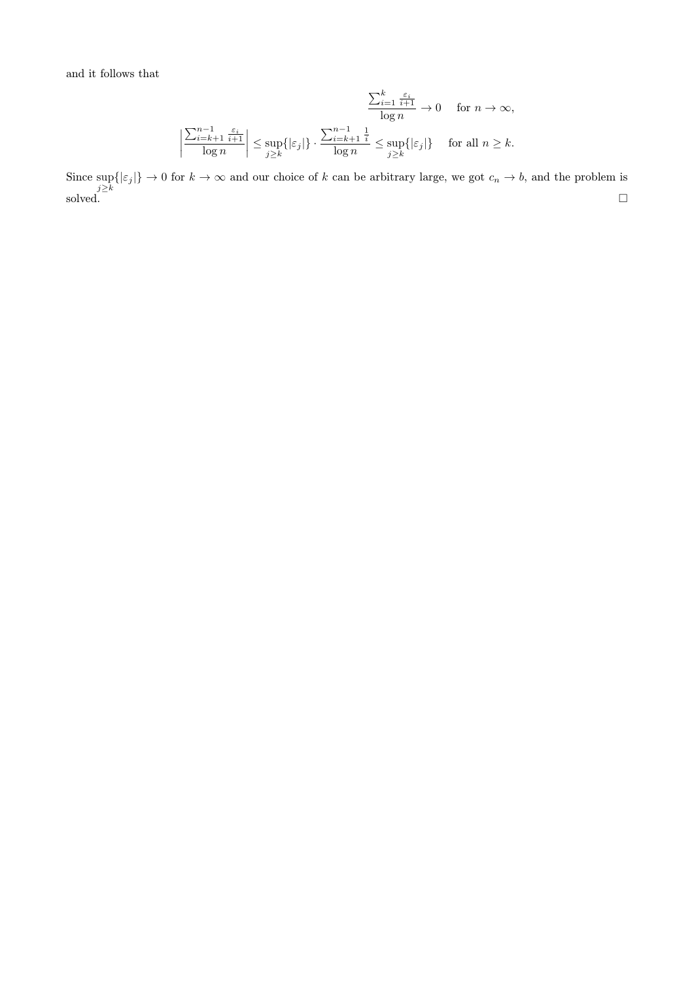and it follows that

$$
\frac{\sum_{i=1}^{k} \frac{\varepsilon_i}{i+1}}{\log n} \to 0 \quad \text{ for } n \to \infty,
$$
  

$$
\left| \frac{\sum_{i=k+1}^{n-1} \frac{\varepsilon_i}{i+1}}{\log n} \right| \le \sup_{j \ge k} \{ |\varepsilon_j| \} \cdot \frac{\sum_{i=k+1}^{n-1} \frac{1}{i}}{\log n} \le \sup_{j \ge k} \{ |\varepsilon_j| \} \quad \text{ for all } n \ge k.
$$

Since  $\sup_{j\geq k} \{|\varepsilon_j|\} \to 0$  for  $k \to \infty$  and our choice of k can be arbitrary large, we got  $c_n \to b$ , and the problem is solved.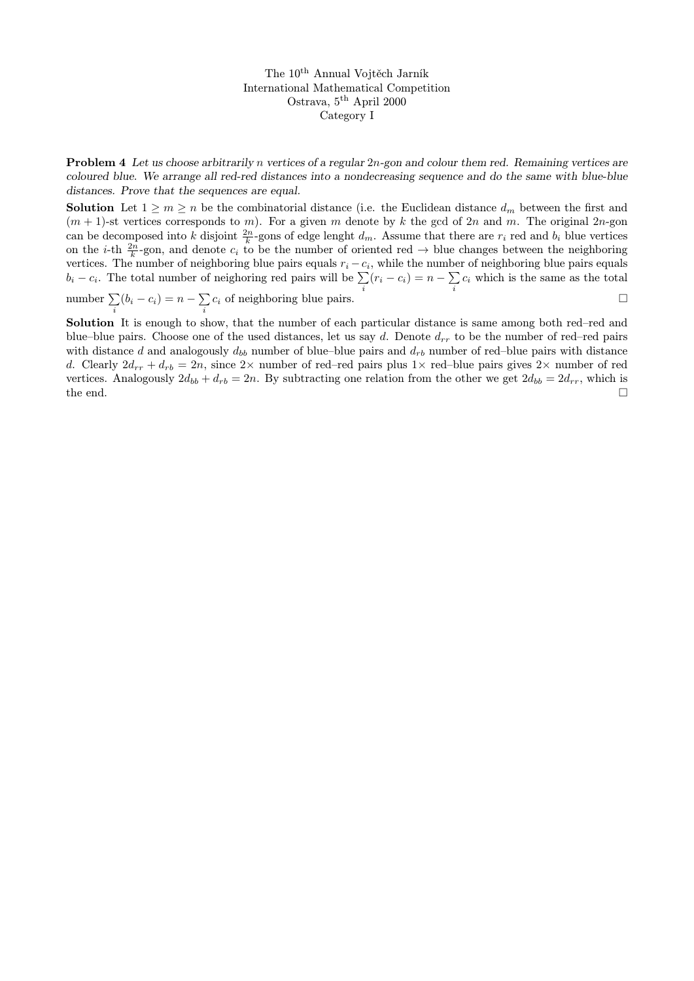Problem 4 Let us choose arbitrarily n vertices of a regular 2n-gon and colour them red. Remaining vertices are coloured blue. We arrange all red-red distances into a nondecreasing sequence and do the same with blue-blue distances. Prove that the sequences are equal.

**Solution** Let  $1 \geq m \geq n$  be the combinatorial distance (i.e. the Euclidean distance  $d_m$  between the first and  $(m + 1)$ -st vertices corresponds to m). For a given m denote by k the gcd of 2n and m. The original 2n-gon can be decomposed into k disjoint  $\frac{2n}{k}$ -gons of edge lenght  $d_m$ . Assume that there are  $r_i$  red and  $b_i$  blue vertices on the *i*-th  $\frac{2n}{k}$ -gon, and denote  $c_i$  to be the number of oriented red  $\rightarrow$  blue changes between the neighboring vertices. The number of neighboring blue pairs equals  $r_i - c_i$ , while the number of neighboring blue pairs equals  $b_i - c_i$ . The total number of neighoring red pairs will be  $\sum$  $\sum_i (r_i - c_i) = n - \sum_i$  $\sum_i c_i$  which is the same as the total number  $\sum$  $\sum_i (b_i - c_i) = n - \sum_i$  $\sum_i c_i$  of neighboring blue pairs.

Solution It is enough to show, that the number of each particular distance is same among both red–red and blue–blue pairs. Choose one of the used distances, let us say d. Denote  $d_{rr}$  to be the number of red–red pairs with distance d and analogously  $d_{bb}$  number of blue–blue pairs and  $d_{rb}$  number of red–blue pairs with distance d. Clearly  $2d_{rr} + d_{rb} = 2n$ , since  $2 \times$  number of red–red pairs plus  $1 \times$  red–blue pairs gives  $2 \times$  number of red vertices. Analogously  $2d_{bb} + d_{rb} = 2n$ . By subtracting one relation from the other we get  $2d_{bb} = 2d_{rr}$ , which is the end.  $\Box$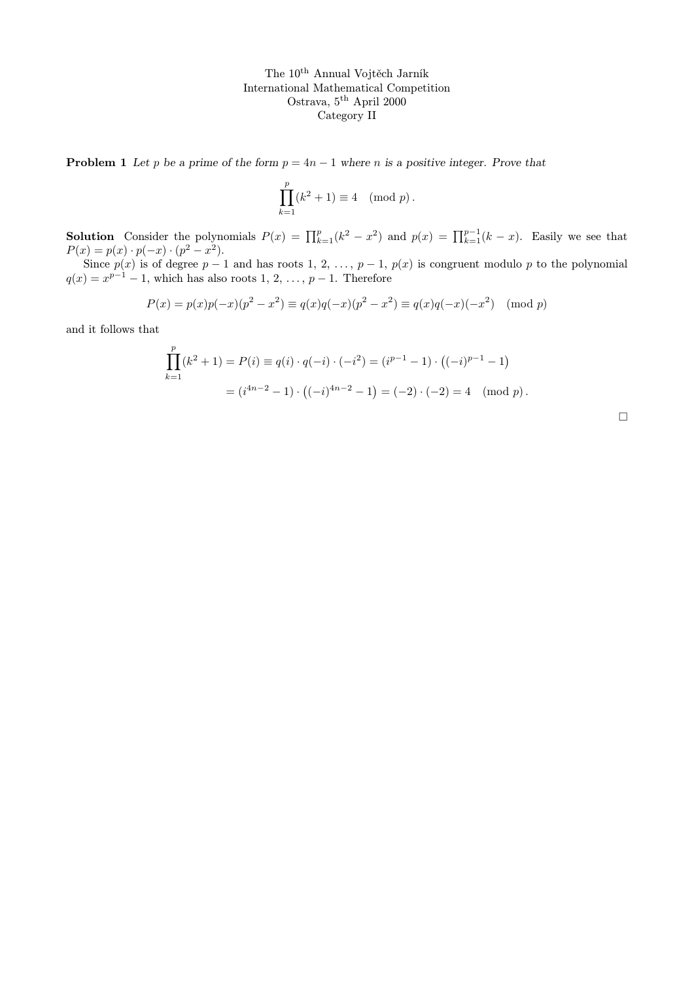**Problem 1** Let p be a prime of the form  $p = 4n - 1$  where n is a positive integer. Prove that

$$
\prod_{k=1}^{p} (k^2 + 1) \equiv 4 \pmod{p}.
$$

**Solution** Consider the polynomials  $P(x) = \prod_{k=1}^{p} (k^2 - x^2)$  and  $p(x) = \prod_{k=1}^{p-1} (k - x)$ . Easily we see that  $P(x) = p(x) \cdot p(-x) \cdot (p^2 - x^2).$ 

Since  $p(x)$  is of degree  $p-1$  and has roots 1, 2, ...,  $p-1$ ,  $p(x)$  is congruent modulo p to the polynomial  $q(x) = x^{p-1} - 1$ , which has also roots 1, 2, ...,  $p-1$ . Therefore

$$
P(x) = p(x)p(-x)(p^2 - x^2) \equiv q(x)q(-x)(p^2 - x^2) \equiv q(x)q(-x)(-x^2) \pmod{p}
$$

and it follows that

$$
\prod_{k=1}^{p} (k^2 + 1) = P(i) \equiv q(i) \cdot q(-i) \cdot (-i^2) = (i^{p-1} - 1) \cdot ((-i)^{p-1} - 1)
$$

$$
= (i^{4n-2} - 1) \cdot ((-i)^{4n-2} - 1) = (-2) \cdot (-2) = 4 \pmod{p}.
$$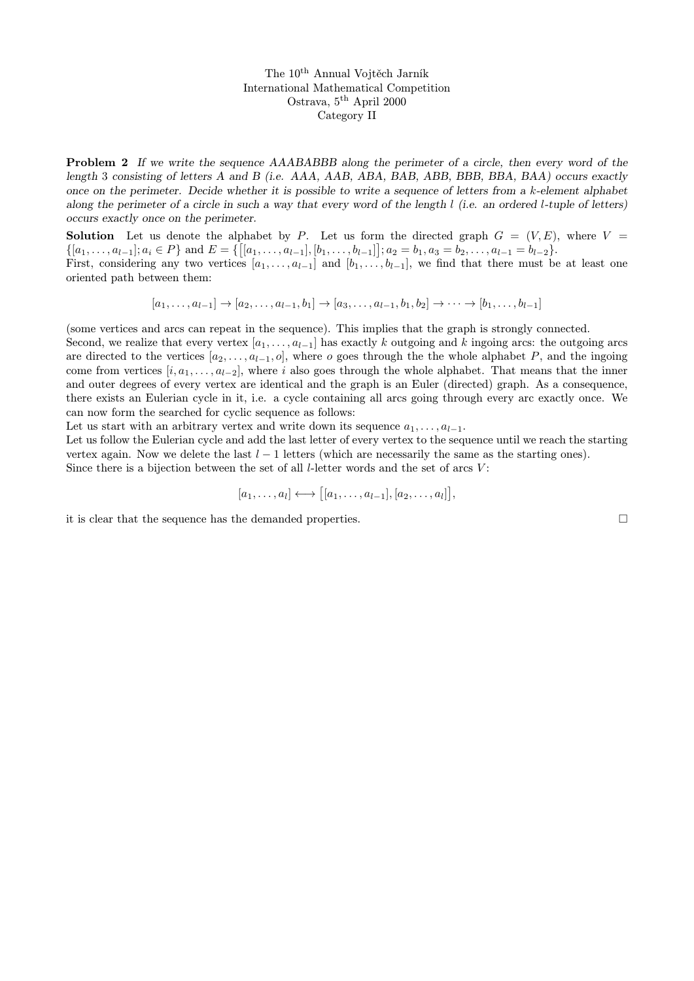**Problem 2** If we write the sequence AAABABBB along the perimeter of a circle, then every word of the length 3 consisting of letters A and B (i.e. AAA, AAB, ABA, BAB, ABB, BBB, BBA, BAA) occurs exactly once on the perimeter. Decide whether it is possible to write a sequence of letters from a k-element alphabet along the perimeter of a circle in such a way that every word of the length  $l$  (i.e. an ordered l-tuple of letters) occurs exactly once on the perimeter.

**Solution** Let us denote the alphabet by P. Let us form the directed graph  $G = (V, E)$ , where V  $\{[a_1, \ldots, a_{l-1}]; a_i \in P\}$  and  $E = \{[[a_1, \ldots, a_{l-1}],[b_1, \ldots, b_{l-1}]]; a_2 = b_1, a_3 = b_2, \ldots, a_{l-1} = b_{l-2}\}.$ 

First, considering any two vertices  $[a_1, \ldots, a_{l-1}]$  and  $[b_1, \ldots, b_{l-1}]$ , we find that there must be at least one oriented path between them:

 $[a_1, \ldots, a_{l-1}] \rightarrow [a_2, \ldots, a_{l-1}, b_1] \rightarrow [a_3, \ldots, a_{l-1}, b_1, b_2] \rightarrow \cdots \rightarrow [b_1, \ldots, b_{l-1}]$ 

(some vertices and arcs can repeat in the sequence). This implies that the graph is strongly connected.

Second, we realize that every vertex  $[a_1, \ldots, a_{l-1}]$  has exactly k outgoing and k ingoing arcs: the outgoing arcs are directed to the vertices  $[a_2, \ldots, a_{l-1}, o]$ , where o goes through the the whole alphabet P, and the ingoing come from vertices  $[i, a_1, \ldots, a_{l-2}]$ , where i also goes through the whole alphabet. That means that the inner and outer degrees of every vertex are identical and the graph is an Euler (directed) graph. As a consequence, there exists an Eulerian cycle in it, i.e. a cycle containing all arcs going through every arc exactly once. We can now form the searched for cyclic sequence as follows:

Let us start with an arbitrary vertex and write down its sequence  $a_1, \ldots, a_{l-1}$ .

Let us follow the Eulerian cycle and add the last letter of every vertex to the sequence until we reach the starting vertex again. Now we delete the last  $l - 1$  letters (which are necessarily the same as the starting ones). Since there is a bijection between the set of all  $l$ -letter words and the set of arcs  $V$ :

$$
[a_1,\ldots,a_l] \longleftrightarrow [[a_1,\ldots,a_{l-1}],[a_2,\ldots,a_l]],
$$

it is clear that the sequence has the demanded properties.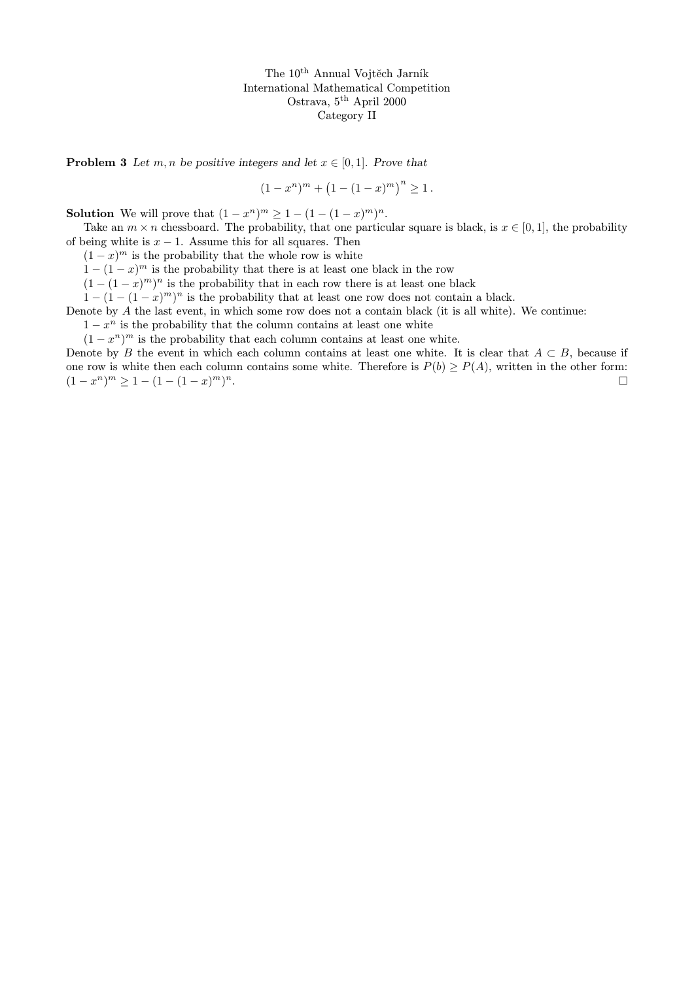**Problem 3** Let m, n be positive integers and let  $x \in [0, 1]$ . Prove that

$$
(1 - xn)m + (1 - (1 - x)m)n \ge 1.
$$

**Solution** We will prove that  $(1 - x^n)^m \ge 1 - (1 - (1 - x)^m)^n$ .

Take an  $m \times n$  chessboard. The probability, that one particular square is black, is  $x \in [0, 1]$ , the probability of being white is  $x - 1$ . Assume this for all squares. Then

 $(1-x)^m$  is the probability that the whole row is white

 $1 - (1 - x)^m$  is the probability that there is at least one black in the row

 $(1 - (1 - x)^m)^n$  is the probability that in each row there is at least one black

 $1 - (1 - (1 - x)^m)^n$  is the probability that at least one row does not contain a black.

Denote by A the last event, in which some row does not a contain black (it is all white). We continue:

 $1 - x^n$  is the probability that the column contains at least one white

 $(1-x^n)^m$  is the probability that each column contains at least one white.

Denote by B the event in which each column contains at least one white. It is clear that  $A \subset B$ , because if one row is white then each column contains some white. Therefore is  $P(b) \ge P(A)$ , written in the other form:  $(1-x^n)^m \ge 1 - (1-(1-x)^m)$ n.